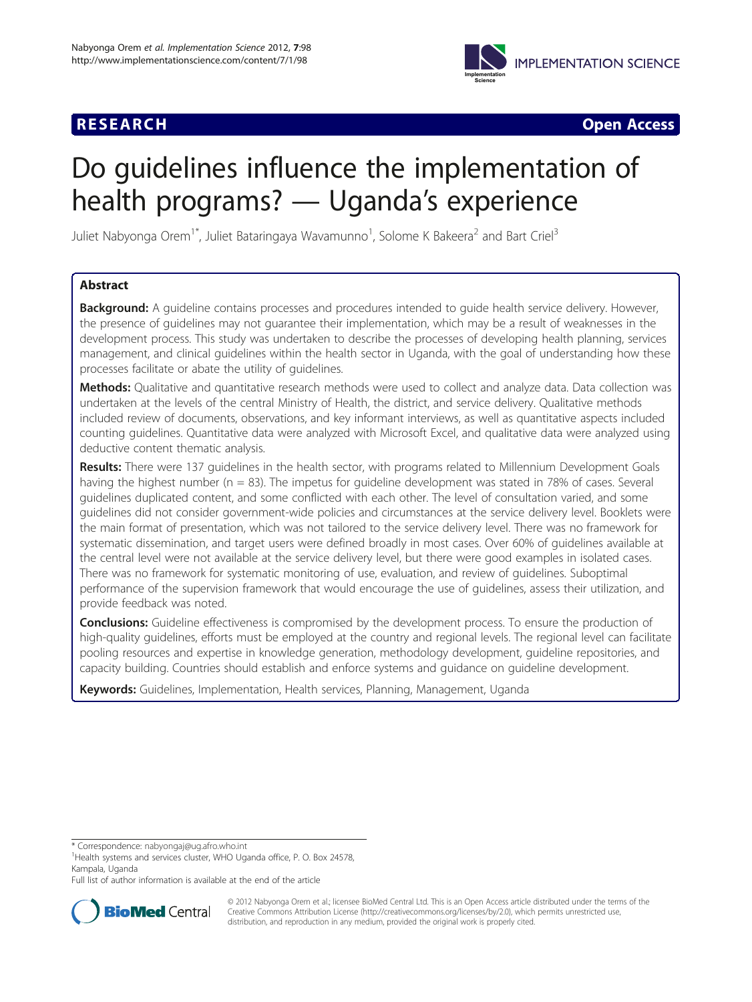

# **RESEARCH RESEARCH** *CHECK <b>CHECK*

# Do guidelines influence the implementation of health programs? — Uganda's experience

Juliet Nabyonga Orem<sup>1\*</sup>, Juliet Bataringaya Wavamunno<sup>1</sup>, Solome K Bakeera<sup>2</sup> and Bart Criel<sup>3</sup>

# Abstract

Background: A guideline contains processes and procedures intended to quide health service delivery. However, the presence of guidelines may not guarantee their implementation, which may be a result of weaknesses in the development process. This study was undertaken to describe the processes of developing health planning, services management, and clinical guidelines within the health sector in Uganda, with the goal of understanding how these processes facilitate or abate the utility of guidelines.

Methods: Qualitative and quantitative research methods were used to collect and analyze data. Data collection was undertaken at the levels of the central Ministry of Health, the district, and service delivery. Qualitative methods included review of documents, observations, and key informant interviews, as well as quantitative aspects included counting guidelines. Quantitative data were analyzed with Microsoft Excel, and qualitative data were analyzed using deductive content thematic analysis.

Results: There were 137 quidelines in the health sector, with programs related to Millennium Development Goals having the highest number (n = 83). The impetus for guideline development was stated in 78% of cases. Several guidelines duplicated content, and some conflicted with each other. The level of consultation varied, and some guidelines did not consider government-wide policies and circumstances at the service delivery level. Booklets were the main format of presentation, which was not tailored to the service delivery level. There was no framework for systematic dissemination, and target users were defined broadly in most cases. Over 60% of guidelines available at the central level were not available at the service delivery level, but there were good examples in isolated cases. There was no framework for systematic monitoring of use, evaluation, and review of guidelines. Suboptimal performance of the supervision framework that would encourage the use of guidelines, assess their utilization, and provide feedback was noted.

**Conclusions:** Guideline effectiveness is compromised by the development process. To ensure the production of high-quality guidelines, efforts must be employed at the country and regional levels. The regional level can facilitate pooling resources and expertise in knowledge generation, methodology development, guideline repositories, and capacity building. Countries should establish and enforce systems and guidance on guideline development.

Keywords: Guidelines, Implementation, Health services, Planning, Management, Uganda

Full list of author information is available at the end of the article



© 2012 Nabyonga Orem et al.; licensee BioMed Central Ltd. This is an Open Access article distributed under the terms of the Creative Commons Attribution License (<http://creativecommons.org/licenses/by/2.0>), which permits unrestricted use, distribution, and reproduction in any medium, provided the original work is properly cited.

<sup>\*</sup> Correspondence: [nabyongaj@ug.afro.who.int](mailto:nabyongaj@ug.afro.who.int) <sup>1</sup>

<sup>&</sup>lt;sup>1</sup>Health systems and services cluster, WHO Uganda office, P. O. Box 24578, Kampala, Uganda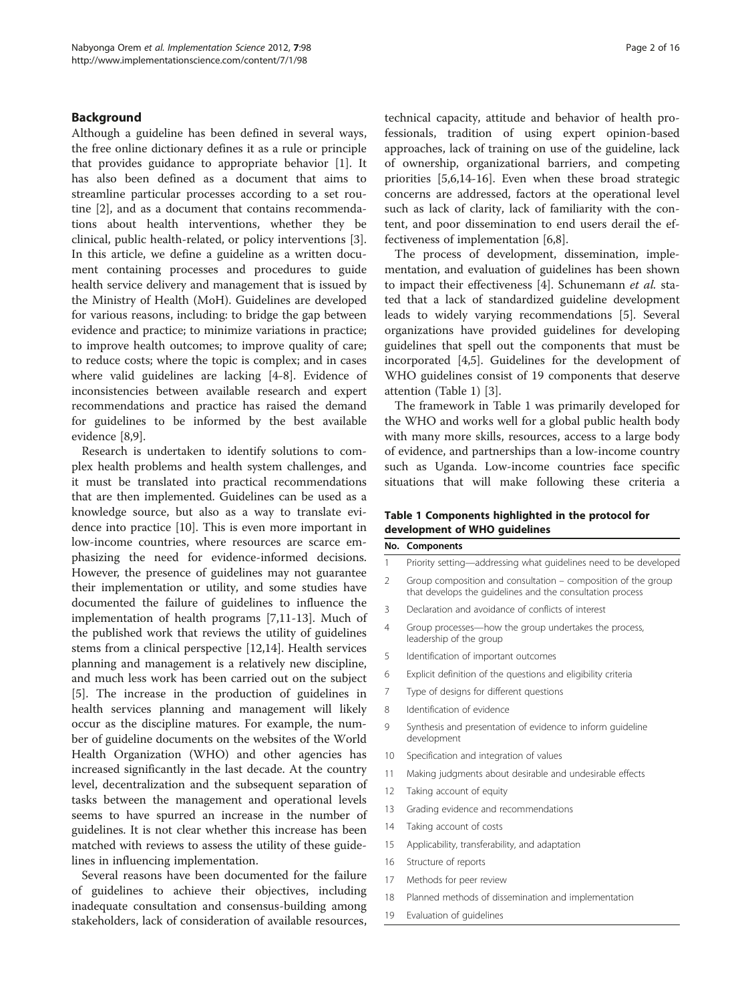## Background

Although a guideline has been defined in several ways, the free online dictionary defines it as a rule or principle that provides guidance to appropriate behavior [[1\]](#page-14-0). It has also been defined as a document that aims to streamline particular processes according to a set routine [[2\]](#page-14-0), and as a document that contains recommendations about health interventions, whether they be clinical, public health-related, or policy interventions [\[3](#page-14-0)]. In this article, we define a guideline as a written document containing processes and procedures to guide health service delivery and management that is issued by the Ministry of Health (MoH). Guidelines are developed for various reasons, including: to bridge the gap between evidence and practice; to minimize variations in practice; to improve health outcomes; to improve quality of care; to reduce costs; where the topic is complex; and in cases where valid guidelines are lacking [[4-8](#page-14-0)]. Evidence of inconsistencies between available research and expert recommendations and practice has raised the demand for guidelines to be informed by the best available evidence [\[8,9](#page-14-0)].

Research is undertaken to identify solutions to complex health problems and health system challenges, and it must be translated into practical recommendations that are then implemented. Guidelines can be used as a knowledge source, but also as a way to translate evidence into practice [\[10\]](#page-14-0). This is even more important in low-income countries, where resources are scarce emphasizing the need for evidence-informed decisions. However, the presence of guidelines may not guarantee their implementation or utility, and some studies have documented the failure of guidelines to influence the implementation of health programs [\[7,11](#page-14-0)-[13](#page-14-0)]. Much of the published work that reviews the utility of guidelines stems from a clinical perspective [[12,14\]](#page-14-0). Health services planning and management is a relatively new discipline, and much less work has been carried out on the subject [[5\]](#page-14-0). The increase in the production of guidelines in health services planning and management will likely occur as the discipline matures. For example, the number of guideline documents on the websites of the World Health Organization (WHO) and other agencies has increased significantly in the last decade. At the country level, decentralization and the subsequent separation of tasks between the management and operational levels seems to have spurred an increase in the number of guidelines. It is not clear whether this increase has been matched with reviews to assess the utility of these guidelines in influencing implementation.

Several reasons have been documented for the failure of guidelines to achieve their objectives, including inadequate consultation and consensus-building among stakeholders, lack of consideration of available resources, technical capacity, attitude and behavior of health professionals, tradition of using expert opinion-based approaches, lack of training on use of the guideline, lack of ownership, organizational barriers, and competing priorities [[5,6,14-16](#page-14-0)]. Even when these broad strategic concerns are addressed, factors at the operational level such as lack of clarity, lack of familiarity with the content, and poor dissemination to end users derail the effectiveness of implementation [\[6,8](#page-14-0)].

The process of development, dissemination, implementation, and evaluation of guidelines has been shown to impact their effectiveness [\[4](#page-14-0)]. Schunemann et al. stated that a lack of standardized guideline development leads to widely varying recommendations [[5\]](#page-14-0). Several organizations have provided guidelines for developing guidelines that spell out the components that must be incorporated [[4,5\]](#page-14-0). Guidelines for the development of WHO guidelines consist of 19 components that deserve attention (Table 1) [[3\]](#page-14-0).

The framework in Table 1 was primarily developed for the WHO and works well for a global public health body with many more skills, resources, access to a large body of evidence, and partnerships than a low-income country such as Uganda. Low-income countries face specific situations that will make following these criteria a

#### Table 1 Components highlighted in the protocol for development of WHO guidelines

| No. Components                                                   |
|------------------------------------------------------------------|
| Priority setting—addressing what guidelines need to be developed |

- 2 Group composition and consultation composition of the group that develops the guidelines and the consultation process
- 3 Declaration and avoidance of conflicts of interest
- 4 Group processes—how the group undertakes the process, leadership of the group
- 5 Identification of important outcomes
- 6 Explicit definition of the questions and eligibility criteria
- 7 Type of designs for different questions
- 8 Identification of evidence
- 9 Synthesis and presentation of evidence to inform guideline development
- 10 Specification and integration of values
- 11 Making judgments about desirable and undesirable effects
- 12 Taking account of equity
- 13 Grading evidence and recommendations
- 14 Taking account of costs
- 15 Applicability, transferability, and adaptation
- 16 Structure of reports
- 17 Methods for peer review
- 18 Planned methods of dissemination and implementation
- 19 Evaluation of guidelines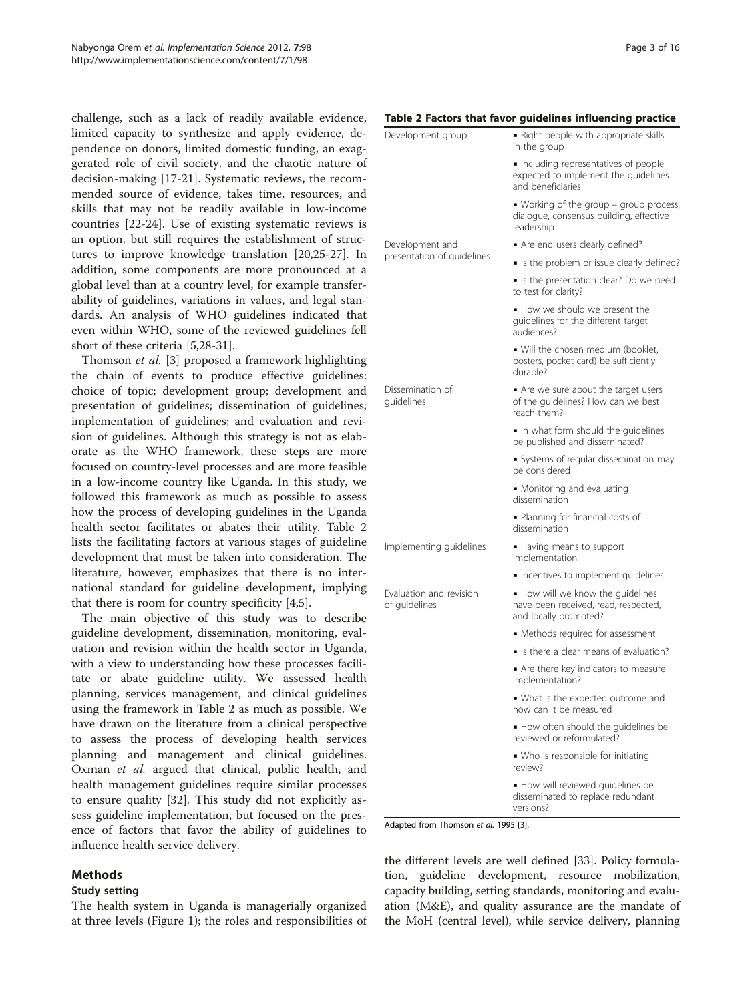<span id="page-2-0"></span>challenge, such as a lack of readily available evidence, limited capacity to synthesize and apply evidence, dependence on donors, limited domestic funding, an exaggerated role of civil society, and the chaotic nature of decision-making [\[17](#page-14-0)-[21\]](#page-14-0). Systematic reviews, the recommended source of evidence, takes time, resources, and skills that may not be readily available in low-income countries [\[22-24](#page-14-0)]. Use of existing systematic reviews is an option, but still requires the establishment of structures to improve knowledge translation [\[20,25-27](#page-14-0)]. In addition, some components are more pronounced at a global level than at a country level, for example transferability of guidelines, variations in values, and legal standards. An analysis of WHO guidelines indicated that even within WHO, some of the reviewed guidelines fell short of these criteria [[5,28-31\]](#page-14-0).

Thomson et al. [\[3](#page-14-0)] proposed a framework highlighting the chain of events to produce effective guidelines: choice of topic; development group; development and presentation of guidelines; dissemination of guidelines; implementation of guidelines; and evaluation and revision of guidelines. Although this strategy is not as elaborate as the WHO framework, these steps are more focused on country-level processes and are more feasible in a low-income country like Uganda. In this study, we followed this framework as much as possible to assess how the process of developing guidelines in the Uganda health sector facilitates or abates their utility. Table 2 lists the facilitating factors at various stages of guideline development that must be taken into consideration. The literature, however, emphasizes that there is no international standard for guideline development, implying that there is room for country specificity [\[4,5](#page-14-0)].

The main objective of this study was to describe guideline development, dissemination, monitoring, evaluation and revision within the health sector in Uganda, with a view to understanding how these processes facilitate or abate guideline utility. We assessed health planning, services management, and clinical guidelines using the framework in Table 2 as much as possible. We have drawn on the literature from a clinical perspective to assess the process of developing health services planning and management and clinical guidelines. Oxman et al. argued that clinical, public health, and health management guidelines require similar processes to ensure quality [\[32\]](#page-14-0). This study did not explicitly assess guideline implementation, but focused on the presence of factors that favor the ability of guidelines to influence health service delivery.

# Methods

# Study setting

The health system in Uganda is managerially organized at three levels (Figure [1\)](#page-3-0); the roles and responsibilities of

#### Table 2 Factors that favor guidelines influencing practice

| Development group                        | Right people with appropriate skills<br>in the group                                               |  |  |  |  |
|------------------------------------------|----------------------------------------------------------------------------------------------------|--|--|--|--|
|                                          | Including representatives of people<br>expected to implement the guidelines<br>and beneficiaries   |  |  |  |  |
|                                          | • Working of the group – group process,<br>dialogue, consensus building, effective<br>leadership   |  |  |  |  |
| Development and                          | Are end users clearly defined?                                                                     |  |  |  |  |
| presentation of guidelines               | Is the problem or issue clearly defined?                                                           |  |  |  |  |
|                                          | Is the presentation clear? Do we need<br>to test for clarity?                                      |  |  |  |  |
|                                          | • How we should we present the<br>guidelines for the different target<br>audiences?                |  |  |  |  |
|                                          | . Will the chosen medium (booklet,<br>posters, pocket card) be sufficiently<br>durable?            |  |  |  |  |
| Dissemination of<br>quidelines           | Are we sure about the target users<br>of the quidelines? How can we best<br>reach them?            |  |  |  |  |
|                                          | In what form should the quidelines<br>be published and disseminated?                               |  |  |  |  |
|                                          | Systems of regular dissemination may<br>be considered                                              |  |  |  |  |
|                                          | • Monitoring and evaluating<br>dissemination                                                       |  |  |  |  |
|                                          | • Planning for financial costs of<br>dissemination                                                 |  |  |  |  |
| Implementing guidelines                  | - Having means to support<br>implementation                                                        |  |  |  |  |
|                                          | Incentives to implement quidelines                                                                 |  |  |  |  |
| Evaluation and revision<br>of guidelines | • How will we know the guidelines<br>have been received, read, respected,<br>and locally promoted? |  |  |  |  |
|                                          | • Methods required for assessment                                                                  |  |  |  |  |
|                                          | Is there a clear means of evaluation?                                                              |  |  |  |  |
|                                          | Are there key indicators to measure<br>implementation?                                             |  |  |  |  |
|                                          | • What is the expected outcome and<br>how can it be measured                                       |  |  |  |  |
|                                          | How often should the guidelines be<br>reviewed or reformulated?                                    |  |  |  |  |
|                                          | · Who is responsible for initiating<br>review?                                                     |  |  |  |  |
|                                          | . How will reviewed quidelines be<br>disseminated to replace redundant<br>versions?                |  |  |  |  |

Adapted from Thomson et al. 1995 [\[3\]](#page-14-0).

the different levels are well defined [[33](#page-14-0)]. Policy formulation, guideline development, resource mobilization, capacity building, setting standards, monitoring and evaluation (M&E), and quality assurance are the mandate of the MoH (central level), while service delivery, planning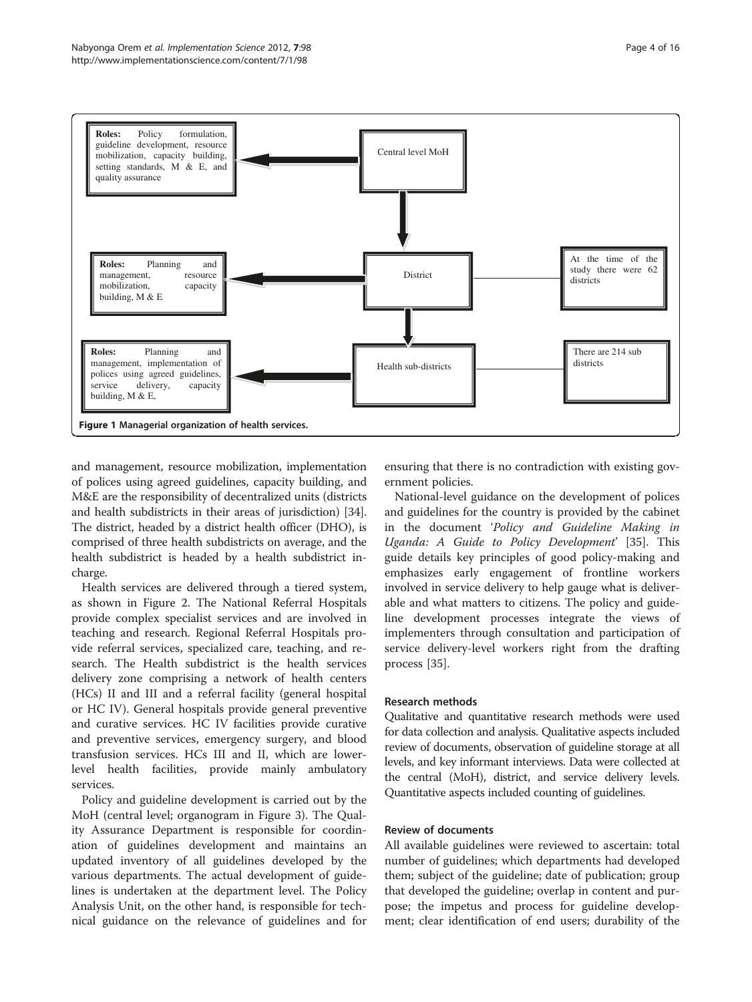<span id="page-3-0"></span>

and management, resource mobilization, implementation of polices using agreed guidelines, capacity building, and M&E are the responsibility of decentralized units (districts and health subdistricts in their areas of jurisdiction) [[34](#page-14-0)]. The district, headed by a district health officer (DHO), is comprised of three health subdistricts on average, and the health subdistrict is headed by a health subdistrict incharge.

Health services are delivered through a tiered system, as shown in Figure [2.](#page-4-0) The National Referral Hospitals provide complex specialist services and are involved in teaching and research. Regional Referral Hospitals provide referral services, specialized care, teaching, and research. The Health subdistrict is the health services delivery zone comprising a network of health centers (HCs) II and III and a referral facility (general hospital or HC IV). General hospitals provide general preventive and curative services. HC IV facilities provide curative and preventive services, emergency surgery, and blood transfusion services. HCs III and II, which are lowerlevel health facilities, provide mainly ambulatory services.

Policy and guideline development is carried out by the MoH (central level; organogram in Figure [3\)](#page-4-0). The Quality Assurance Department is responsible for coordination of guidelines development and maintains an updated inventory of all guidelines developed by the various departments. The actual development of guidelines is undertaken at the department level. The Policy Analysis Unit, on the other hand, is responsible for technical guidance on the relevance of guidelines and for

ensuring that there is no contradiction with existing government policies.

National-level guidance on the development of polices and guidelines for the country is provided by the cabinet in the document 'Policy and Guideline Making in Uganda: A Guide to Policy Development' [[35\]](#page-14-0). This guide details key principles of good policy-making and emphasizes early engagement of frontline workers involved in service delivery to help gauge what is deliverable and what matters to citizens. The policy and guideline development processes integrate the views of implementers through consultation and participation of service delivery-level workers right from the drafting process [\[35](#page-14-0)].

#### Research methods

Qualitative and quantitative research methods were used for data collection and analysis. Qualitative aspects included review of documents, observation of guideline storage at all levels, and key informant interviews. Data were collected at the central (MoH), district, and service delivery levels. Quantitative aspects included counting of guidelines.

#### Review of documents

All available guidelines were reviewed to ascertain: total number of guidelines; which departments had developed them; subject of the guideline; date of publication; group that developed the guideline; overlap in content and purpose; the impetus and process for guideline development; clear identification of end users; durability of the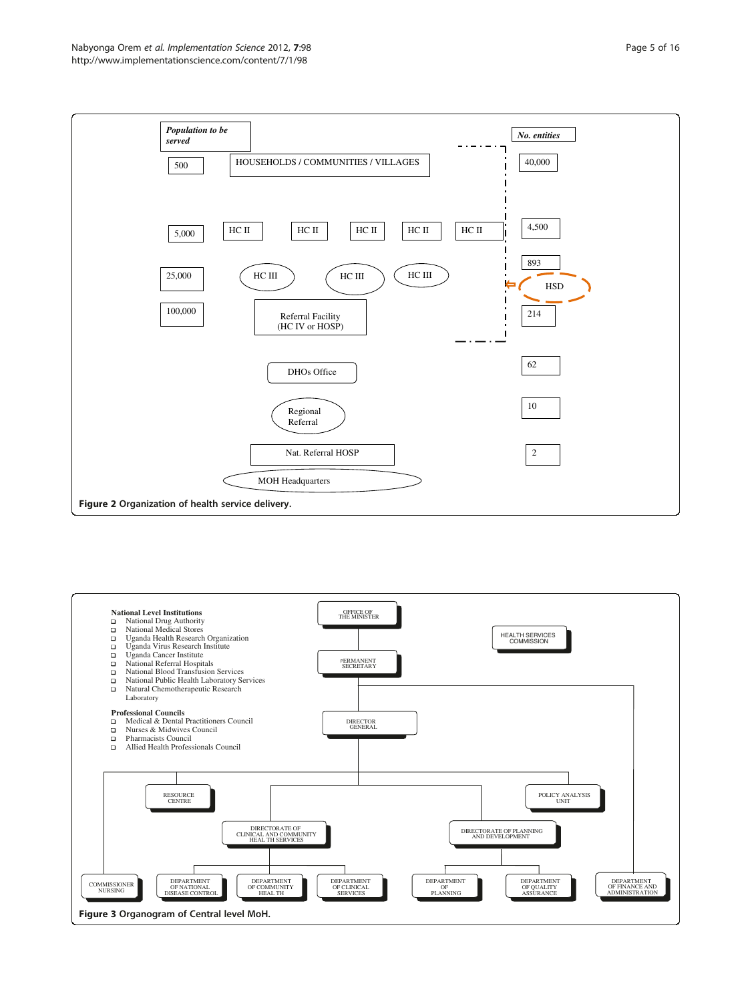<span id="page-4-0"></span>

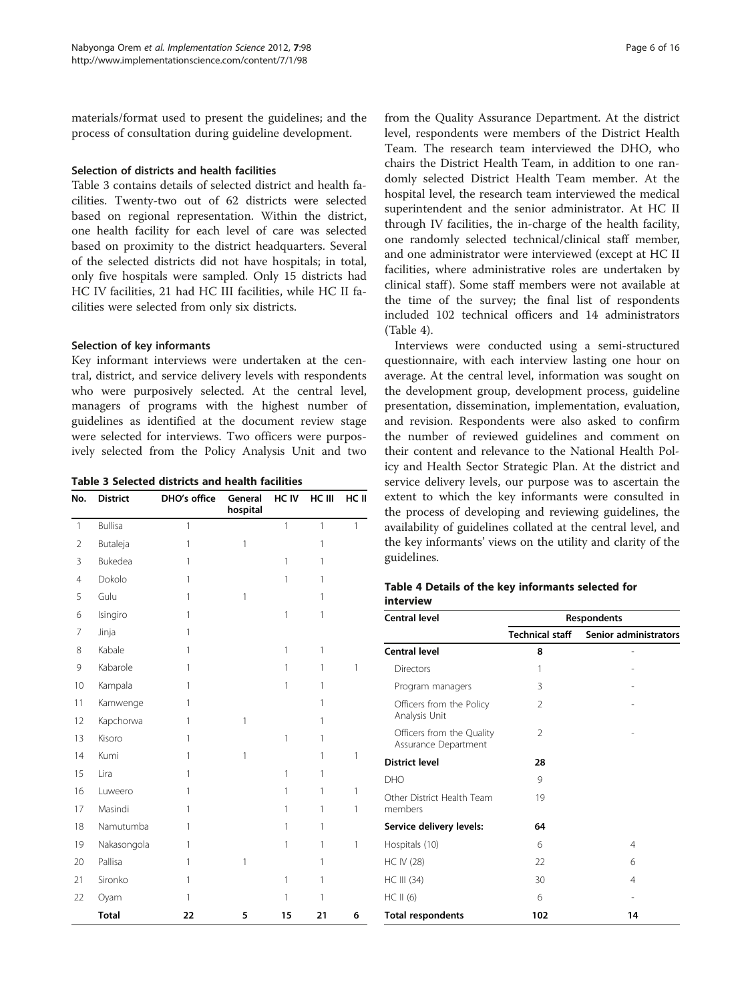materials/format used to present the guidelines; and the process of consultation during guideline development.

## Selection of districts and health facilities

Table 3 contains details of selected district and health facilities. Twenty-two out of 62 districts were selected based on regional representation. Within the district, one health facility for each level of care was selected based on proximity to the district headquarters. Several of the selected districts did not have hospitals; in total, only five hospitals were sampled. Only 15 districts had HC IV facilities, 21 had HC III facilities, while HC II facilities were selected from only six districts.

## Selection of key informants

Key informant interviews were undertaken at the central, district, and service delivery levels with respondents who were purposively selected. At the central level, managers of programs with the highest number of guidelines as identified at the document review stage were selected for interviews. Two officers were purposively selected from the Policy Analysis Unit and two

Table 3 Selected districts and health facilities

| No.            | <b>District</b> | DHO's office | General<br>hospital | HC IV | HC III       | HC II |
|----------------|-----------------|--------------|---------------------|-------|--------------|-------|
| $\mathbf{1}$   | <b>Bullisa</b>  | $\mathbf{1}$ |                     | 1     | $\mathbf{1}$ | 1     |
| $\overline{2}$ | Butaleja        | 1            | 1                   |       | 1            |       |
| 3              | Bukedea         | 1            |                     | 1     | 1            |       |
| $\overline{4}$ | Dokolo          | 1            |                     | 1     | 1            |       |
| 5              | Gulu            | 1            | $\mathbf{1}$        |       | 1            |       |
| 6              | Isingiro        | 1            |                     | 1     | 1            |       |
| 7              | Jinja           | 1            |                     |       |              |       |
| 8              | Kabale          | $\mathbf{1}$ |                     | 1     | 1            |       |
| 9              | Kabarole        | 1            |                     | 1     | 1            | 1     |
| 10             | Kampala         | 1            |                     | 1     | 1            |       |
| 11             | Kamwenge        | 1            |                     |       | 1            |       |
| 12             | Kapchorwa       | 1            | $\mathbf{1}$        |       | 1            |       |
| 13             | Kisoro          | 1            |                     | 1     | $\mathbf{1}$ |       |
| 14             | Kumi            | 1            | $\mathbf{1}$        |       | 1            | 1     |
| 15             | Lira            | $\mathbf{1}$ |                     | 1     | 1            |       |
| 16             | Luweero         | $\mathbf{1}$ |                     | 1     | 1            | 1     |
| 17             | Masindi         | 1            |                     | 1     | 1            | 1     |
| 18             | Namutumba       | 1            |                     | 1     | 1            |       |
| 19             | Nakasongola     | 1            |                     | 1     | 1            | 1     |
| 20             | Pallisa         | $\mathbf{1}$ | 1                   |       | 1            |       |
| 21             | Sironko         | 1            |                     | 1     | 1            |       |
| 22             | Oyam            | 1            |                     | 1     | 1            |       |
|                | <b>Total</b>    | 22           | 5                   | 15    | 21           | 6     |

from the Quality Assurance Department. At the district level, respondents were members of the District Health Team. The research team interviewed the DHO, who chairs the District Health Team, in addition to one randomly selected District Health Team member. At the hospital level, the research team interviewed the medical superintendent and the senior administrator. At HC II through IV facilities, the in-charge of the health facility, one randomly selected technical/clinical staff member, and one administrator were interviewed (except at HC II facilities, where administrative roles are undertaken by clinical staff ). Some staff members were not available at the time of the survey; the final list of respondents included 102 technical officers and 14 administrators (Table 4).

Interviews were conducted using a semi-structured questionnaire, with each interview lasting one hour on average. At the central level, information was sought on the development group, development process, guideline presentation, dissemination, implementation, evaluation, and revision. Respondents were also asked to confirm the number of reviewed guidelines and comment on their content and relevance to the National Health Policy and Health Sector Strategic Plan. At the district and service delivery levels, our purpose was to ascertain the extent to which the key informants were consulted in the process of developing and reviewing guidelines, the availability of guidelines collated at the central level, and the key informants' views on the utility and clarity of the guidelines.

| Table 4 Details of the key informants selected for |  |  |  |
|----------------------------------------------------|--|--|--|
| interview                                          |  |  |  |

| Central level                                     | <b>Respondents</b>     |                              |  |  |
|---------------------------------------------------|------------------------|------------------------------|--|--|
|                                                   | <b>Technical staff</b> | <b>Senior administrators</b> |  |  |
| Central level                                     | 8                      |                              |  |  |
| Directors                                         | 1                      |                              |  |  |
| Program managers                                  | 3                      |                              |  |  |
| Officers from the Policy<br>Analysis Unit         | $\mathfrak{D}$         |                              |  |  |
| Officers from the Quality<br>Assurance Department | $\mathfrak{D}$         |                              |  |  |
| <b>District level</b>                             | 28                     |                              |  |  |
| <b>DHO</b>                                        | 9                      |                              |  |  |
| Other District Health Team<br>members             | 19                     |                              |  |  |
| Service delivery levels:                          | 64                     |                              |  |  |
| Hospitals (10)                                    | 6                      | 4                            |  |  |
| HC IV (28)                                        | 22                     | 6                            |  |  |
| <b>HC III (34)</b>                                | 30                     | 4                            |  |  |
| HC II(6)                                          | 6                      |                              |  |  |
| <b>Total respondents</b>                          | 102                    | 14                           |  |  |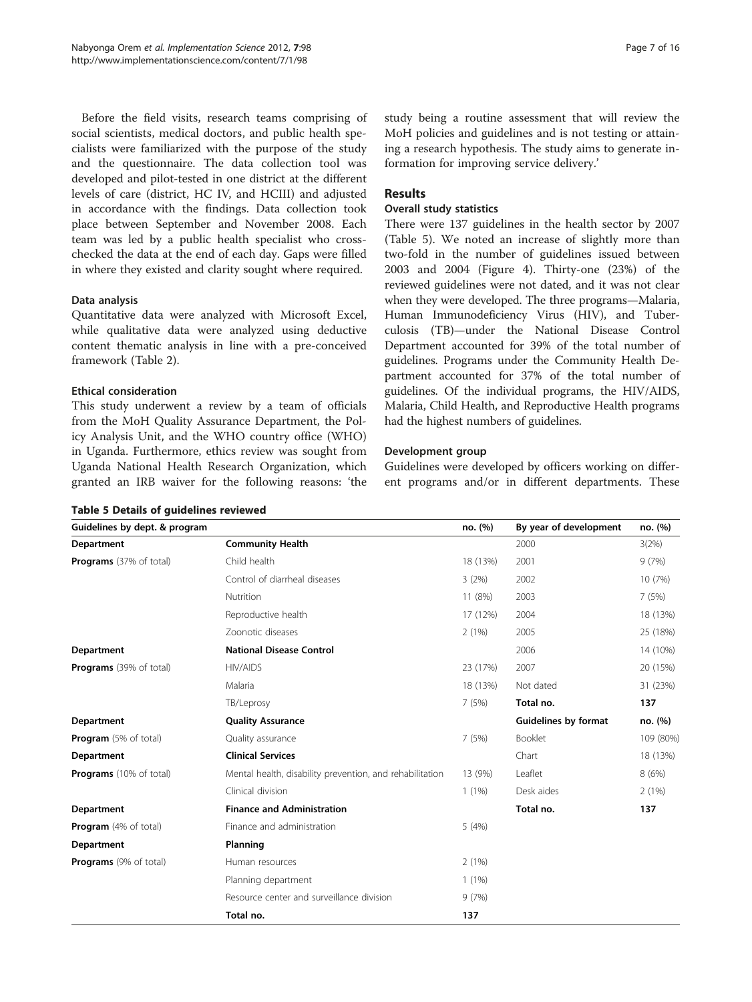Before the field visits, research teams comprising of social scientists, medical doctors, and public health specialists were familiarized with the purpose of the study and the questionnaire. The data collection tool was developed and pilot-tested in one district at the different levels of care (district, HC IV, and HCIII) and adjusted in accordance with the findings. Data collection took place between September and November 2008. Each team was led by a public health specialist who crosschecked the data at the end of each day. Gaps were filled in where they existed and clarity sought where required.

## Data analysis

Quantitative data were analyzed with Microsoft Excel, while qualitative data were analyzed using deductive content thematic analysis in line with a pre-conceived framework (Table [2\)](#page-2-0).

#### Ethical consideration

Table 5 Details of guidelines reviewed

This study underwent a review by a team of officials from the MoH Quality Assurance Department, the Policy Analysis Unit, and the WHO country office (WHO) in Uganda. Furthermore, ethics review was sought from Uganda National Health Research Organization, which granted an IRB waiver for the following reasons: 'the

study being a routine assessment that will review the MoH policies and guidelines and is not testing or attaining a research hypothesis. The study aims to generate information for improving service delivery.'

# Results

#### Overall study statistics

There were 137 guidelines in the health sector by 2007 (Table 5). We noted an increase of slightly more than two-fold in the number of guidelines issued between 2003 and 2004 (Figure [4](#page-7-0)). Thirty-one (23%) of the reviewed guidelines were not dated, and it was not clear when they were developed. The three programs—Malaria, Human Immunodeficiency Virus (HIV), and Tuberculosis (TB)—under the National Disease Control Department accounted for 39% of the total number of guidelines. Programs under the Community Health Department accounted for 37% of the total number of guidelines. Of the individual programs, the HIV/AIDS, Malaria, Child Health, and Reproductive Health programs had the highest numbers of guidelines.

#### Development group

Guidelines were developed by officers working on different programs and/or in different departments. These

| Guidelines by dept. & program |                                                          | no. (%)  | By year of development      | no. (%)   |
|-------------------------------|----------------------------------------------------------|----------|-----------------------------|-----------|
| Department                    | <b>Community Health</b>                                  |          | 2000                        | 3(2%)     |
| Programs (37% of total)       | Child health                                             | 18 (13%) | 2001                        | 9(7%)     |
|                               | Control of diarrheal diseases                            | 3(2%)    | 2002                        | 10 (7%)   |
|                               | Nutrition                                                | 11 (8%)  | 2003                        | 7 (5%)    |
|                               | Reproductive health                                      | 17 (12%) | 2004                        | 18 (13%)  |
|                               | Zoonotic diseases                                        | 2(1%)    | 2005                        | 25 (18%)  |
| Department                    | <b>National Disease Control</b>                          |          | 2006                        | 14 (10%)  |
| Programs (39% of total)       | <b>HIV/AIDS</b>                                          | 23 (17%) | 2007                        | 20 (15%)  |
|                               | Malaria                                                  | 18 (13%) | Not dated                   | 31 (23%)  |
|                               | TB/Leprosy                                               | 7(5%)    | Total no.                   | 137       |
| Department                    | <b>Quality Assurance</b>                                 |          | <b>Guidelines by format</b> | no. (%)   |
| Program (5% of total)         | Quality assurance                                        | 7(5%)    | Booklet                     | 109 (80%) |
| Department                    | <b>Clinical Services</b>                                 |          | Chart                       | 18 (13%)  |
| Programs (10% of total)       | Mental health, disability prevention, and rehabilitation | 13 (9%)  | Leaflet                     | 8 (6%)    |
|                               | Clinical division                                        | $1(1\%)$ | Desk aides                  | 2(1%)     |
| Department                    | <b>Finance and Administration</b>                        |          | Total no.                   | 137       |
| Program (4% of total)         | Finance and administration                               | 5(4%)    |                             |           |
| Department                    | Planning                                                 |          |                             |           |
| Programs (9% of total)        | Human resources                                          | 2(1%)    |                             |           |
|                               | Planning department                                      | $1(1\%)$ |                             |           |
|                               | Resource center and surveillance division                | 9(7%)    |                             |           |
|                               | Total no.                                                | 137      |                             |           |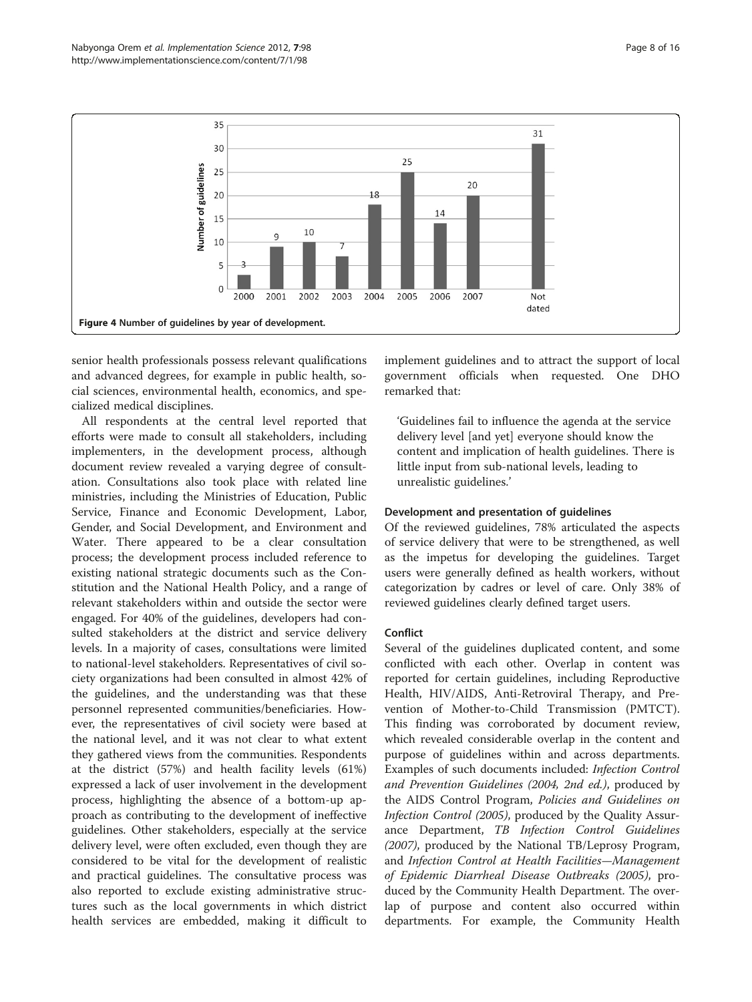<span id="page-7-0"></span>

senior health professionals possess relevant qualifications and advanced degrees, for example in public health, social sciences, environmental health, economics, and specialized medical disciplines.

All respondents at the central level reported that efforts were made to consult all stakeholders, including implementers, in the development process, although document review revealed a varying degree of consultation. Consultations also took place with related line ministries, including the Ministries of Education, Public Service, Finance and Economic Development, Labor, Gender, and Social Development, and Environment and Water. There appeared to be a clear consultation process; the development process included reference to existing national strategic documents such as the Constitution and the National Health Policy, and a range of relevant stakeholders within and outside the sector were engaged. For 40% of the guidelines, developers had consulted stakeholders at the district and service delivery levels. In a majority of cases, consultations were limited to national-level stakeholders. Representatives of civil society organizations had been consulted in almost 42% of the guidelines, and the understanding was that these personnel represented communities/beneficiaries. However, the representatives of civil society were based at the national level, and it was not clear to what extent they gathered views from the communities. Respondents at the district (57%) and health facility levels (61%) expressed a lack of user involvement in the development process, highlighting the absence of a bottom-up approach as contributing to the development of ineffective guidelines. Other stakeholders, especially at the service delivery level, were often excluded, even though they are considered to be vital for the development of realistic and practical guidelines. The consultative process was also reported to exclude existing administrative structures such as the local governments in which district health services are embedded, making it difficult to

implement guidelines and to attract the support of local government officials when requested. One DHO remarked that:

'Guidelines fail to influence the agenda at the service delivery level [and yet] everyone should know the content and implication of health guidelines. There is little input from sub-national levels, leading to unrealistic guidelines.'

# Development and presentation of guidelines

Of the reviewed guidelines, 78% articulated the aspects of service delivery that were to be strengthened, as well as the impetus for developing the guidelines. Target users were generally defined as health workers, without categorization by cadres or level of care. Only 38% of reviewed guidelines clearly defined target users.

#### Conflict

Several of the guidelines duplicated content, and some conflicted with each other. Overlap in content was reported for certain guidelines, including Reproductive Health, HIV/AIDS, Anti-Retroviral Therapy, and Prevention of Mother-to-Child Transmission (PMTCT). This finding was corroborated by document review, which revealed considerable overlap in the content and purpose of guidelines within and across departments. Examples of such documents included: Infection Control and Prevention Guidelines (2004, 2nd ed.), produced by the AIDS Control Program, Policies and Guidelines on Infection Control (2005), produced by the Quality Assurance Department, TB Infection Control Guidelines (2007), produced by the National TB/Leprosy Program, and Infection Control at Health Facilities—Management of Epidemic Diarrheal Disease Outbreaks (2005), produced by the Community Health Department. The overlap of purpose and content also occurred within departments. For example, the Community Health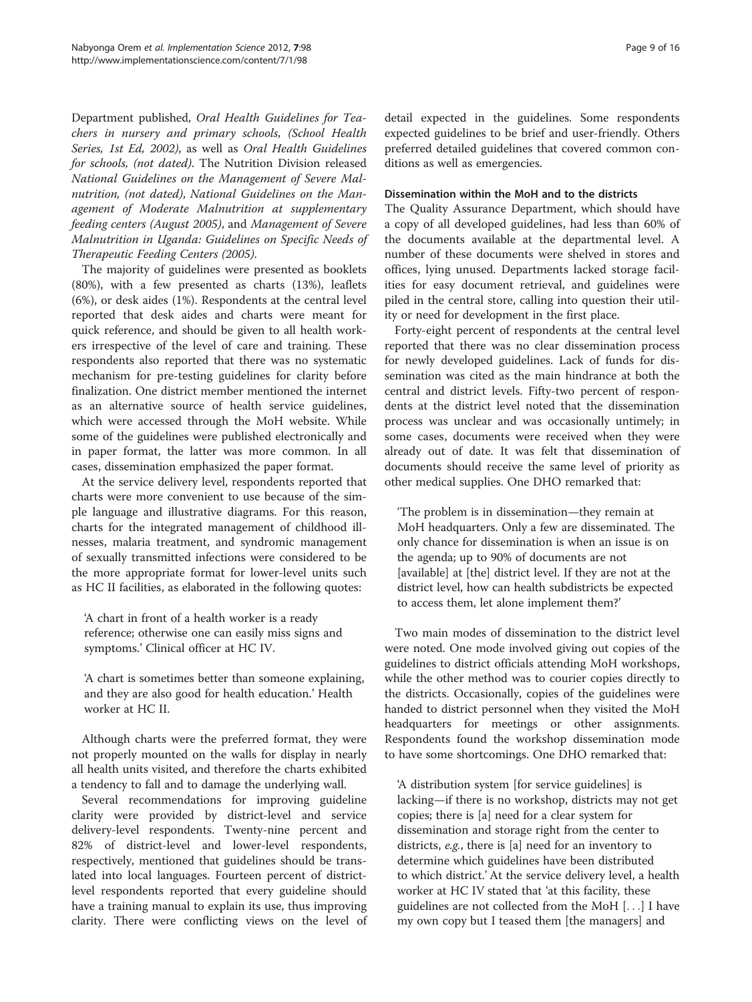Department published, Oral Health Guidelines for Teachers in nursery and primary schools, (School Health Series, 1st Ed, 2002), as well as Oral Health Guidelines for schools, (not dated). The Nutrition Division released National Guidelines on the Management of Severe Malnutrition, (not dated), National Guidelines on the Management of Moderate Malnutrition at supplementary feeding centers (August 2005), and Management of Severe Malnutrition in Uganda: Guidelines on Specific Needs of Therapeutic Feeding Centers (2005).

The majority of guidelines were presented as booklets (80%), with a few presented as charts (13%), leaflets (6%), or desk aides (1%). Respondents at the central level reported that desk aides and charts were meant for quick reference, and should be given to all health workers irrespective of the level of care and training. These respondents also reported that there was no systematic mechanism for pre-testing guidelines for clarity before finalization. One district member mentioned the internet as an alternative source of health service guidelines, which were accessed through the MoH website. While some of the guidelines were published electronically and in paper format, the latter was more common. In all cases, dissemination emphasized the paper format.

At the service delivery level, respondents reported that charts were more convenient to use because of the simple language and illustrative diagrams. For this reason, charts for the integrated management of childhood illnesses, malaria treatment, and syndromic management of sexually transmitted infections were considered to be the more appropriate format for lower-level units such as HC II facilities, as elaborated in the following quotes:

'A chart in front of a health worker is a ready reference; otherwise one can easily miss signs and symptoms.' Clinical officer at HC IV.

'A chart is sometimes better than someone explaining, and they are also good for health education.' Health worker at HC II.

Although charts were the preferred format, they were not properly mounted on the walls for display in nearly all health units visited, and therefore the charts exhibited a tendency to fall and to damage the underlying wall.

Several recommendations for improving guideline clarity were provided by district-level and service delivery-level respondents. Twenty-nine percent and 82% of district-level and lower-level respondents, respectively, mentioned that guidelines should be translated into local languages. Fourteen percent of districtlevel respondents reported that every guideline should have a training manual to explain its use, thus improving clarity. There were conflicting views on the level of detail expected in the guidelines. Some respondents expected guidelines to be brief and user-friendly. Others preferred detailed guidelines that covered common conditions as well as emergencies.

#### Dissemination within the MoH and to the districts

The Quality Assurance Department, which should have a copy of all developed guidelines, had less than 60% of the documents available at the departmental level. A number of these documents were shelved in stores and offices, lying unused. Departments lacked storage facilities for easy document retrieval, and guidelines were piled in the central store, calling into question their utility or need for development in the first place.

Forty-eight percent of respondents at the central level reported that there was no clear dissemination process for newly developed guidelines. Lack of funds for dissemination was cited as the main hindrance at both the central and district levels. Fifty-two percent of respondents at the district level noted that the dissemination process was unclear and was occasionally untimely; in some cases, documents were received when they were already out of date. It was felt that dissemination of documents should receive the same level of priority as other medical supplies. One DHO remarked that:

'The problem is in dissemination—they remain at MoH headquarters. Only a few are disseminated. The only chance for dissemination is when an issue is on the agenda; up to 90% of documents are not [available] at [the] district level. If they are not at the district level, how can health subdistricts be expected to access them, let alone implement them?'

Two main modes of dissemination to the district level were noted. One mode involved giving out copies of the guidelines to district officials attending MoH workshops, while the other method was to courier copies directly to the districts. Occasionally, copies of the guidelines were handed to district personnel when they visited the MoH headquarters for meetings or other assignments. Respondents found the workshop dissemination mode to have some shortcomings. One DHO remarked that:

'A distribution system [for service guidelines] is lacking—if there is no workshop, districts may not get copies; there is [a] need for a clear system for dissemination and storage right from the center to districts, e.g., there is [a] need for an inventory to determine which guidelines have been distributed to which district.' At the service delivery level, a health worker at HC IV stated that 'at this facility, these guidelines are not collected from the MoH [...] I have my own copy but I teased them [the managers] and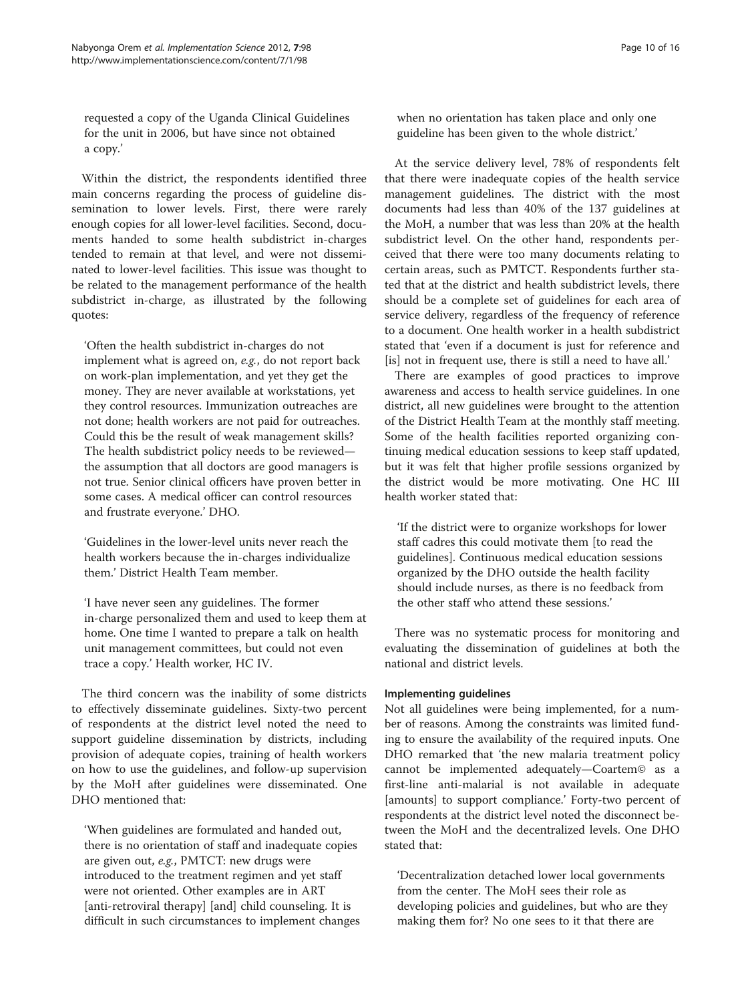requested a copy of the Uganda Clinical Guidelines for the unit in 2006, but have since not obtained a copy.'

Within the district, the respondents identified three main concerns regarding the process of guideline dissemination to lower levels. First, there were rarely enough copies for all lower-level facilities. Second, documents handed to some health subdistrict in-charges tended to remain at that level, and were not disseminated to lower-level facilities. This issue was thought to be related to the management performance of the health subdistrict in-charge, as illustrated by the following quotes:

'Often the health subdistrict in-charges do not implement what is agreed on, e.g., do not report back on work-plan implementation, and yet they get the money. They are never available at workstations, yet they control resources. Immunization outreaches are not done; health workers are not paid for outreaches. Could this be the result of weak management skills? The health subdistrict policy needs to be reviewed the assumption that all doctors are good managers is not true. Senior clinical officers have proven better in some cases. A medical officer can control resources and frustrate everyone.' DHO.

'Guidelines in the lower-level units never reach the health workers because the in-charges individualize them.' District Health Team member.

'I have never seen any guidelines. The former in-charge personalized them and used to keep them at home. One time I wanted to prepare a talk on health unit management committees, but could not even trace a copy.' Health worker, HC IV.

The third concern was the inability of some districts to effectively disseminate guidelines. Sixty-two percent of respondents at the district level noted the need to support guideline dissemination by districts, including provision of adequate copies, training of health workers on how to use the guidelines, and follow-up supervision by the MoH after guidelines were disseminated. One DHO mentioned that:

'When guidelines are formulated and handed out, there is no orientation of staff and inadequate copies are given out, e.g., PMTCT: new drugs were introduced to the treatment regimen and yet staff were not oriented. Other examples are in ART [anti-retroviral therapy] [and] child counseling. It is difficult in such circumstances to implement changes when no orientation has taken place and only one guideline has been given to the whole district.'

At the service delivery level, 78% of respondents felt that there were inadequate copies of the health service management guidelines. The district with the most documents had less than 40% of the 137 guidelines at the MoH, a number that was less than 20% at the health subdistrict level. On the other hand, respondents perceived that there were too many documents relating to certain areas, such as PMTCT. Respondents further stated that at the district and health subdistrict levels, there should be a complete set of guidelines for each area of service delivery, regardless of the frequency of reference to a document. One health worker in a health subdistrict stated that 'even if a document is just for reference and [is] not in frequent use, there is still a need to have all.'

There are examples of good practices to improve awareness and access to health service guidelines. In one district, all new guidelines were brought to the attention of the District Health Team at the monthly staff meeting. Some of the health facilities reported organizing continuing medical education sessions to keep staff updated, but it was felt that higher profile sessions organized by the district would be more motivating. One HC III health worker stated that:

'If the district were to organize workshops for lower staff cadres this could motivate them [to read the guidelines]. Continuous medical education sessions organized by the DHO outside the health facility should include nurses, as there is no feedback from the other staff who attend these sessions.'

There was no systematic process for monitoring and evaluating the dissemination of guidelines at both the national and district levels.

## Implementing guidelines

Not all guidelines were being implemented, for a number of reasons. Among the constraints was limited funding to ensure the availability of the required inputs. One DHO remarked that 'the new malaria treatment policy cannot be implemented adequately—Coartem© as a first-line anti-malarial is not available in adequate [amounts] to support compliance.' Forty-two percent of respondents at the district level noted the disconnect between the MoH and the decentralized levels. One DHO stated that:

'Decentralization detached lower local governments from the center. The MoH sees their role as developing policies and guidelines, but who are they making them for? No one sees to it that there are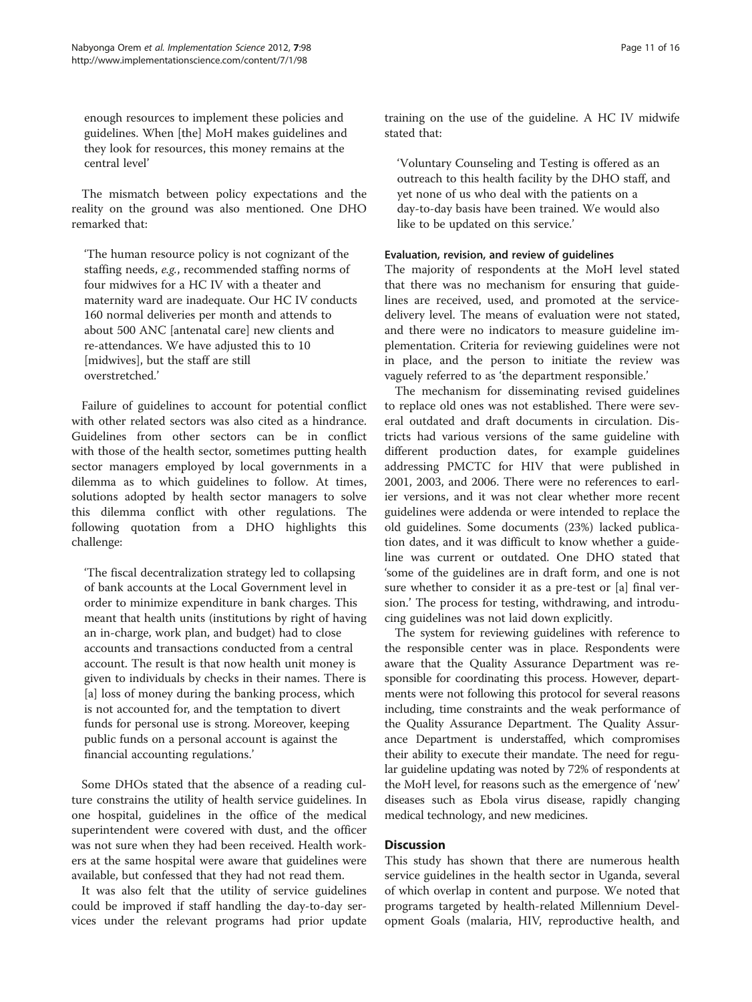enough resources to implement these policies and guidelines. When [the] MoH makes guidelines and they look for resources, this money remains at the central level'

The mismatch between policy expectations and the reality on the ground was also mentioned. One DHO remarked that:

'The human resource policy is not cognizant of the staffing needs, e.g., recommended staffing norms of four midwives for a HC IV with a theater and maternity ward are inadequate. Our HC IV conducts 160 normal deliveries per month and attends to about 500 ANC [antenatal care] new clients and re-attendances. We have adjusted this to 10 [midwives], but the staff are still overstretched.'

Failure of guidelines to account for potential conflict with other related sectors was also cited as a hindrance. Guidelines from other sectors can be in conflict with those of the health sector, sometimes putting health sector managers employed by local governments in a dilemma as to which guidelines to follow. At times, solutions adopted by health sector managers to solve this dilemma conflict with other regulations. The following quotation from a DHO highlights this challenge:

'The fiscal decentralization strategy led to collapsing of bank accounts at the Local Government level in order to minimize expenditure in bank charges. This meant that health units (institutions by right of having an in-charge, work plan, and budget) had to close accounts and transactions conducted from a central account. The result is that now health unit money is given to individuals by checks in their names. There is [a] loss of money during the banking process, which is not accounted for, and the temptation to divert funds for personal use is strong. Moreover, keeping public funds on a personal account is against the financial accounting regulations.'

Some DHOs stated that the absence of a reading culture constrains the utility of health service guidelines. In one hospital, guidelines in the office of the medical superintendent were covered with dust, and the officer was not sure when they had been received. Health workers at the same hospital were aware that guidelines were available, but confessed that they had not read them.

It was also felt that the utility of service guidelines could be improved if staff handling the day-to-day services under the relevant programs had prior update training on the use of the guideline. A HC IV midwife stated that:

'Voluntary Counseling and Testing is offered as an outreach to this health facility by the DHO staff, and yet none of us who deal with the patients on a day-to-day basis have been trained. We would also like to be updated on this service.'

## Evaluation, revision, and review of guidelines

The majority of respondents at the MoH level stated that there was no mechanism for ensuring that guidelines are received, used, and promoted at the servicedelivery level. The means of evaluation were not stated, and there were no indicators to measure guideline implementation. Criteria for reviewing guidelines were not in place, and the person to initiate the review was vaguely referred to as 'the department responsible.'

The mechanism for disseminating revised guidelines to replace old ones was not established. There were several outdated and draft documents in circulation. Districts had various versions of the same guideline with different production dates, for example guidelines addressing PMCTC for HIV that were published in 2001, 2003, and 2006. There were no references to earlier versions, and it was not clear whether more recent guidelines were addenda or were intended to replace the old guidelines. Some documents (23%) lacked publication dates, and it was difficult to know whether a guideline was current or outdated. One DHO stated that 'some of the guidelines are in draft form, and one is not sure whether to consider it as a pre-test or [a] final version.' The process for testing, withdrawing, and introducing guidelines was not laid down explicitly.

The system for reviewing guidelines with reference to the responsible center was in place. Respondents were aware that the Quality Assurance Department was responsible for coordinating this process. However, departments were not following this protocol for several reasons including, time constraints and the weak performance of the Quality Assurance Department. The Quality Assurance Department is understaffed, which compromises their ability to execute their mandate. The need for regular guideline updating was noted by 72% of respondents at the MoH level, for reasons such as the emergence of 'new' diseases such as Ebola virus disease, rapidly changing medical technology, and new medicines.

# **Discussion**

This study has shown that there are numerous health service guidelines in the health sector in Uganda, several of which overlap in content and purpose. We noted that programs targeted by health-related Millennium Development Goals (malaria, HIV, reproductive health, and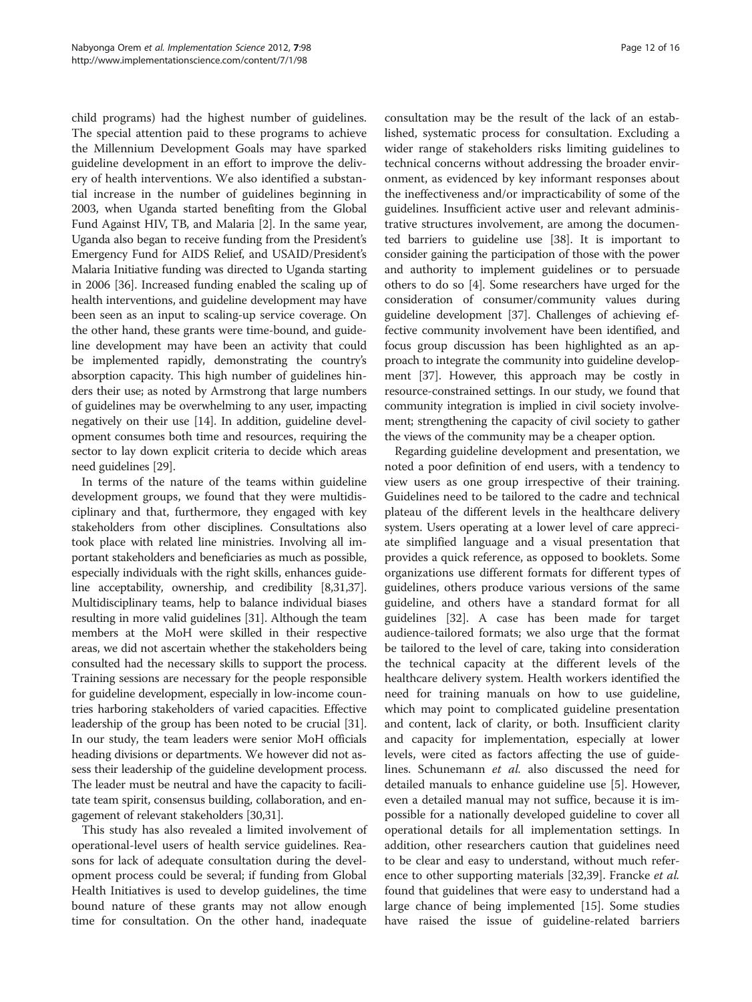child programs) had the highest number of guidelines. The special attention paid to these programs to achieve the Millennium Development Goals may have sparked guideline development in an effort to improve the delivery of health interventions. We also identified a substantial increase in the number of guidelines beginning in 2003, when Uganda started benefiting from the Global Fund Against HIV, TB, and Malaria [\[2\]](#page-14-0). In the same year, Uganda also began to receive funding from the President's Emergency Fund for AIDS Relief, and USAID/President's Malaria Initiative funding was directed to Uganda starting in 2006 [[36](#page-14-0)]. Increased funding enabled the scaling up of health interventions, and guideline development may have been seen as an input to scaling-up service coverage. On the other hand, these grants were time-bound, and guideline development may have been an activity that could be implemented rapidly, demonstrating the country's absorption capacity. This high number of guidelines hinders their use; as noted by Armstrong that large numbers of guidelines may be overwhelming to any user, impacting negatively on their use [[14](#page-14-0)]. In addition, guideline development consumes both time and resources, requiring the sector to lay down explicit criteria to decide which areas need guidelines [\[29\]](#page-14-0).

In terms of the nature of the teams within guideline development groups, we found that they were multidisciplinary and that, furthermore, they engaged with key stakeholders from other disciplines. Consultations also took place with related line ministries. Involving all important stakeholders and beneficiaries as much as possible, especially individuals with the right skills, enhances guideline acceptability, ownership, and credibility [\[8,31,37](#page-14-0)]. Multidisciplinary teams, help to balance individual biases resulting in more valid guidelines [[31](#page-14-0)]. Although the team members at the MoH were skilled in their respective areas, we did not ascertain whether the stakeholders being consulted had the necessary skills to support the process. Training sessions are necessary for the people responsible for guideline development, especially in low-income countries harboring stakeholders of varied capacities. Effective leadership of the group has been noted to be crucial [[31](#page-14-0)]. In our study, the team leaders were senior MoH officials heading divisions or departments. We however did not assess their leadership of the guideline development process. The leader must be neutral and have the capacity to facilitate team spirit, consensus building, collaboration, and engagement of relevant stakeholders [\[30,31](#page-14-0)].

This study has also revealed a limited involvement of operational-level users of health service guidelines. Reasons for lack of adequate consultation during the development process could be several; if funding from Global Health Initiatives is used to develop guidelines, the time bound nature of these grants may not allow enough time for consultation. On the other hand, inadequate

consultation may be the result of the lack of an established, systematic process for consultation. Excluding a wider range of stakeholders risks limiting guidelines to technical concerns without addressing the broader environment, as evidenced by key informant responses about the ineffectiveness and/or impracticability of some of the guidelines. Insufficient active user and relevant administrative structures involvement, are among the documented barriers to guideline use [[38](#page-14-0)]. It is important to consider gaining the participation of those with the power and authority to implement guidelines or to persuade others to do so [\[4](#page-14-0)]. Some researchers have urged for the consideration of consumer/community values during guideline development [\[37\]](#page-14-0). Challenges of achieving effective community involvement have been identified, and focus group discussion has been highlighted as an approach to integrate the community into guideline development [[37](#page-14-0)]. However, this approach may be costly in resource-constrained settings. In our study, we found that community integration is implied in civil society involvement; strengthening the capacity of civil society to gather the views of the community may be a cheaper option.

Regarding guideline development and presentation, we noted a poor definition of end users, with a tendency to view users as one group irrespective of their training. Guidelines need to be tailored to the cadre and technical plateau of the different levels in the healthcare delivery system. Users operating at a lower level of care appreciate simplified language and a visual presentation that provides a quick reference, as opposed to booklets. Some organizations use different formats for different types of guidelines, others produce various versions of the same guideline, and others have a standard format for all guidelines [\[32](#page-14-0)]. A case has been made for target audience-tailored formats; we also urge that the format be tailored to the level of care, taking into consideration the technical capacity at the different levels of the healthcare delivery system. Health workers identified the need for training manuals on how to use guideline, which may point to complicated guideline presentation and content, lack of clarity, or both. Insufficient clarity and capacity for implementation, especially at lower levels, were cited as factors affecting the use of guidelines. Schunemann et al. also discussed the need for detailed manuals to enhance guideline use [[5\]](#page-14-0). However, even a detailed manual may not suffice, because it is impossible for a nationally developed guideline to cover all operational details for all implementation settings. In addition, other researchers caution that guidelines need to be clear and easy to understand, without much refer-ence to other supporting materials [[32,39](#page-14-0)]. Francke *et al.* found that guidelines that were easy to understand had a large chance of being implemented [\[15](#page-14-0)]. Some studies have raised the issue of guideline-related barriers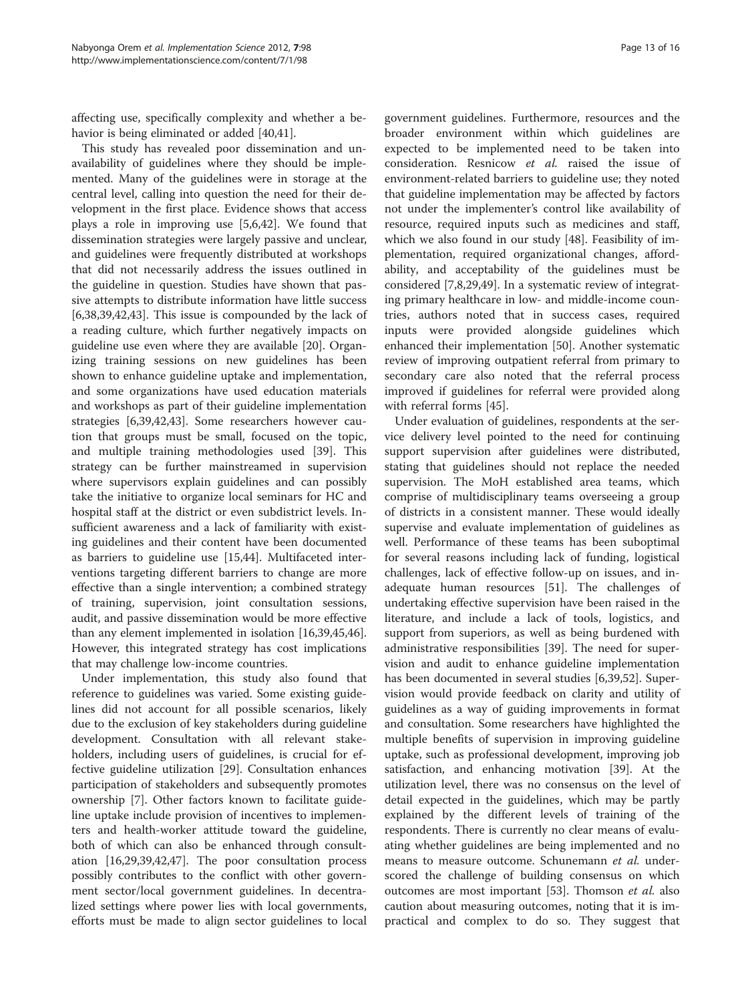affecting use, specifically complexity and whether a behavior is being eliminated or added [[40](#page-14-0),[41](#page-14-0)].

This study has revealed poor dissemination and unavailability of guidelines where they should be implemented. Many of the guidelines were in storage at the central level, calling into question the need for their development in the first place. Evidence shows that access plays a role in improving use [[5](#page-14-0),[6,42\]](#page-14-0). We found that dissemination strategies were largely passive and unclear, and guidelines were frequently distributed at workshops that did not necessarily address the issues outlined in the guideline in question. Studies have shown that passive attempts to distribute information have little success [[6,38,39,42,43\]](#page-14-0). This issue is compounded by the lack of a reading culture, which further negatively impacts on guideline use even where they are available [[20](#page-14-0)]. Organizing training sessions on new guidelines has been shown to enhance guideline uptake and implementation, and some organizations have used education materials and workshops as part of their guideline implementation strategies [\[6,39,42,43\]](#page-14-0). Some researchers however caution that groups must be small, focused on the topic, and multiple training methodologies used [[39\]](#page-14-0). This strategy can be further mainstreamed in supervision where supervisors explain guidelines and can possibly take the initiative to organize local seminars for HC and hospital staff at the district or even subdistrict levels. Insufficient awareness and a lack of familiarity with existing guidelines and their content have been documented as barriers to guideline use [\[15,44](#page-14-0)]. Multifaceted interventions targeting different barriers to change are more effective than a single intervention; a combined strategy of training, supervision, joint consultation sessions, audit, and passive dissemination would be more effective than any element implemented in isolation [[16,39,45,46](#page-14-0)]. However, this integrated strategy has cost implications that may challenge low-income countries.

Under implementation, this study also found that reference to guidelines was varied. Some existing guidelines did not account for all possible scenarios, likely due to the exclusion of key stakeholders during guideline development. Consultation with all relevant stakeholders, including users of guidelines, is crucial for effective guideline utilization [[29\]](#page-14-0). Consultation enhances participation of stakeholders and subsequently promotes ownership [[7](#page-14-0)]. Other factors known to facilitate guideline uptake include provision of incentives to implementers and health-worker attitude toward the guideline, both of which can also be enhanced through consultation [[16,29,39](#page-14-0),[42](#page-14-0),[47](#page-14-0)]. The poor consultation process possibly contributes to the conflict with other government sector/local government guidelines. In decentralized settings where power lies with local governments, efforts must be made to align sector guidelines to local government guidelines. Furthermore, resources and the broader environment within which guidelines are expected to be implemented need to be taken into consideration. Resnicow et al. raised the issue of environment-related barriers to guideline use; they noted that guideline implementation may be affected by factors not under the implementer's control like availability of resource, required inputs such as medicines and staff, which we also found in our study [[48](#page-15-0)]. Feasibility of implementation, required organizational changes, affordability, and acceptability of the guidelines must be considered [[7,8,29,](#page-14-0)[49\]](#page-15-0). In a systematic review of integrating primary healthcare in low- and middle-income countries, authors noted that in success cases, required inputs were provided alongside guidelines which enhanced their implementation [[50](#page-15-0)]. Another systematic review of improving outpatient referral from primary to secondary care also noted that the referral process improved if guidelines for referral were provided along with referral forms [[45\]](#page-14-0).

Under evaluation of guidelines, respondents at the service delivery level pointed to the need for continuing support supervision after guidelines were distributed, stating that guidelines should not replace the needed supervision. The MoH established area teams, which comprise of multidisciplinary teams overseeing a group of districts in a consistent manner. These would ideally supervise and evaluate implementation of guidelines as well. Performance of these teams has been suboptimal for several reasons including lack of funding, logistical challenges, lack of effective follow-up on issues, and inadequate human resources [\[51](#page-15-0)]. The challenges of undertaking effective supervision have been raised in the literature, and include a lack of tools, logistics, and support from superiors, as well as being burdened with administrative responsibilities [\[39](#page-14-0)]. The need for supervision and audit to enhance guideline implementation has been documented in several studies [\[6,39](#page-14-0)[,52](#page-15-0)]. Supervision would provide feedback on clarity and utility of guidelines as a way of guiding improvements in format and consultation. Some researchers have highlighted the multiple benefits of supervision in improving guideline uptake, such as professional development, improving job satisfaction, and enhancing motivation [[39\]](#page-14-0). At the utilization level, there was no consensus on the level of detail expected in the guidelines, which may be partly explained by the different levels of training of the respondents. There is currently no clear means of evaluating whether guidelines are being implemented and no means to measure outcome. Schunemann et al. underscored the challenge of building consensus on which outcomes are most important [[53\]](#page-15-0). Thomson et al. also caution about measuring outcomes, noting that it is impractical and complex to do so. They suggest that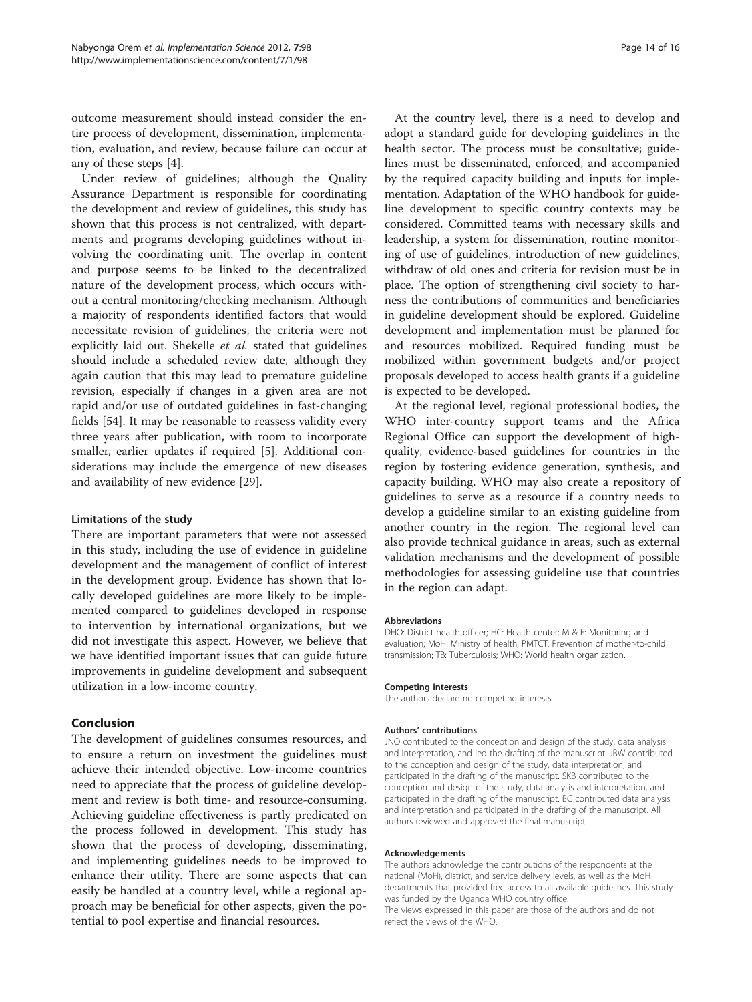outcome measurement should instead consider the entire process of development, dissemination, implementation, evaluation, and review, because failure can occur at any of these steps [\[4](#page-14-0)].

Under review of guidelines; although the Quality Assurance Department is responsible for coordinating the development and review of guidelines, this study has shown that this process is not centralized, with departments and programs developing guidelines without involving the coordinating unit. The overlap in content and purpose seems to be linked to the decentralized nature of the development process, which occurs without a central monitoring/checking mechanism. Although a majority of respondents identified factors that would necessitate revision of guidelines, the criteria were not explicitly laid out. Shekelle et al. stated that guidelines should include a scheduled review date, although they again caution that this may lead to premature guideline revision, especially if changes in a given area are not rapid and/or use of outdated guidelines in fast-changing fields [\[54\]](#page-15-0). It may be reasonable to reassess validity every three years after publication, with room to incorporate smaller, earlier updates if required [[5\]](#page-14-0). Additional considerations may include the emergence of new diseases and availability of new evidence [[29\]](#page-14-0).

#### Limitations of the study

There are important parameters that were not assessed in this study, including the use of evidence in guideline development and the management of conflict of interest in the development group. Evidence has shown that locally developed guidelines are more likely to be implemented compared to guidelines developed in response to intervention by international organizations, but we did not investigate this aspect. However, we believe that we have identified important issues that can guide future improvements in guideline development and subsequent utilization in a low-income country.

#### Conclusion

The development of guidelines consumes resources, and to ensure a return on investment the guidelines must achieve their intended objective. Low-income countries need to appreciate that the process of guideline development and review is both time- and resource-consuming. Achieving guideline effectiveness is partly predicated on the process followed in development. This study has shown that the process of developing, disseminating, and implementing guidelines needs to be improved to enhance their utility. There are some aspects that can easily be handled at a country level, while a regional approach may be beneficial for other aspects, given the potential to pool expertise and financial resources.

At the country level, there is a need to develop and adopt a standard guide for developing guidelines in the health sector. The process must be consultative; guidelines must be disseminated, enforced, and accompanied by the required capacity building and inputs for implementation. Adaptation of the WHO handbook for guideline development to specific country contexts may be considered. Committed teams with necessary skills and leadership, a system for dissemination, routine monitoring of use of guidelines, introduction of new guidelines, withdraw of old ones and criteria for revision must be in place. The option of strengthening civil society to harness the contributions of communities and beneficiaries in guideline development should be explored. Guideline development and implementation must be planned for and resources mobilized. Required funding must be mobilized within government budgets and/or project proposals developed to access health grants if a guideline is expected to be developed.

At the regional level, regional professional bodies, the WHO inter-country support teams and the Africa Regional Office can support the development of highquality, evidence-based guidelines for countries in the region by fostering evidence generation, synthesis, and capacity building. WHO may also create a repository of guidelines to serve as a resource if a country needs to develop a guideline similar to an existing guideline from another country in the region. The regional level can also provide technical guidance in areas, such as external validation mechanisms and the development of possible methodologies for assessing guideline use that countries in the region can adapt.

#### Abbreviations

DHO: District health officer; HC: Health center; M & E: Monitoring and evaluation; MoH: Ministry of health; PMTCT: Prevention of mother-to-child transmission; TB: Tuberculosis; WHO: World health organization.

#### Competing interests

The authors declare no competing interests.

#### Authors' contributions

JNO contributed to the conception and design of the study, data analysis and interpretation, and led the drafting of the manuscript. JBW contributed to the conception and design of the study, data interpretation, and participated in the drafting of the manuscript. SKB contributed to the conception and design of the study, data analysis and interpretation, and participated in the drafting of the manuscript. BC contributed data analysis and interpretation and participated in the drafting of the manuscript. All authors reviewed and approved the final manuscript.

#### Acknowledgements

The authors acknowledge the contributions of the respondents at the national (MoH), district, and service delivery levels, as well as the MoH departments that provided free access to all available guidelines. This study was funded by the Uganda WHO country office. The views expressed in this paper are those of the authors and do not reflect the views of the WHO.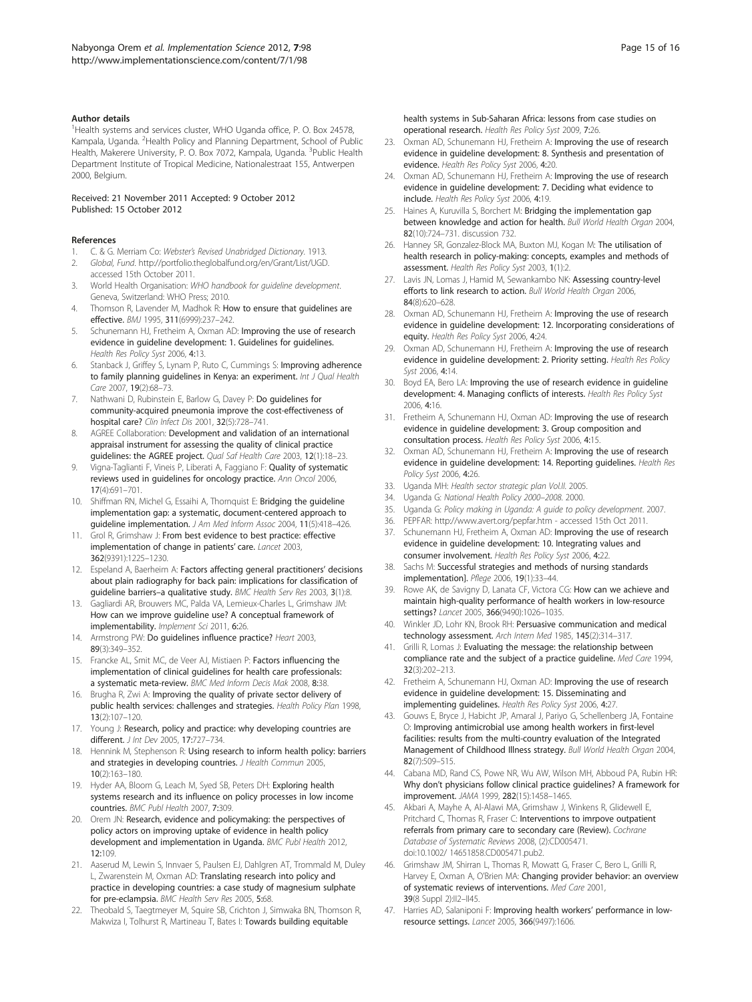#### <span id="page-14-0"></span>Author details

<sup>1</sup>Health systems and services cluster, WHO Uganda office, P. O. Box 24578, Kampala, Uganda. <sup>2</sup>Health Policy and Planning Department, School of Public Health, Makerere University, P. O. Box 7072, Kampala, Uganda. <sup>3</sup>Public Health Department Institute of Tropical Medicine, Nationalestraat 155, Antwerpen 2000, Belgium.

#### Received: 21 November 2011 Accepted: 9 October 2012 Published: 15 October 2012

#### References

- 1. C. & G. Merriam Co: Webster's Revised Unabridged Dictionary. 1913.
- 2. Global, Fund. [http://portfolio.theglobalfund.org/en/Grant/List/UGD.](http://portfolio.theglobalfund.org/en/Grant/List/UGD) accessed 15th October 2011.
- 3. World Health Organisation: WHO handbook for guideline development. Geneva, Switzerland: WHO Press; 2010.
- 4. Thomson R, Lavender M, Madhok R: How to ensure that guidelines are effective. BMJ 1995, 311(6999):237–242.
- 5. Schunemann HJ, Fretheim A, Oxman AD: Improving the use of research evidence in guideline development: 1. Guidelines for guidelines. Health Res Policy Syst 2006, 4:13.
- 6. Stanback J, Griffey S, Lynam P, Ruto C, Cummings S: Improving adherence to family planning guidelines in Kenya: an experiment. Int J Qual Health Care 2007, 19(2):68–73.
- 7. Nathwani D, Rubinstein E, Barlow G, Davey P: Do guidelines for community-acquired pneumonia improve the cost-effectiveness of hospital care? Clin Infect Dis 2001, 32(5):728–741.
- 8. AGREE Collaboration: Development and validation of an international appraisal instrument for assessing the quality of clinical practice guidelines: the AGREE project. Qual Saf Health Care 2003, 12(1):18–23.
- 9. Vigna-Taglianti F, Vineis P, Liberati A, Faggiano F: Quality of systematic reviews used in guidelines for oncology practice. Ann Oncol 2006, 17(4):691–701.
- 10. Shiffman RN, Michel G, Essaihi A, Thornquist E: Bridging the guideline implementation gap: a systematic, document-centered approach to guideline implementation. J Am Med Inform Assoc 2004, 11(5):418–426.
- 11. Grol R, Grimshaw J: From best evidence to best practice: effective implementation of change in patients' care. Lancet 2003, 362(9391):1225–1230.
- 12. Espeland A, Baerheim A: Factors affecting general practitioners' decisions about plain radiography for back pain: implications for classification of guideline barriers–a qualitative study. BMC Health Serv Res 2003, 3(1):8.
- 13. Gagliardi AR, Brouwers MC, Palda VA, Lemieux-Charles L, Grimshaw JM: How can we improve guideline use? A conceptual framework of implementability. Implement Sci 2011, 6:26.
- 14. Armstrong PW: Do guidelines influence practice? Heart 2003, 89(3):349–352.
- 15. Francke AL, Smit MC, de Veer AJ, Mistiaen P: Factors influencing the implementation of clinical guidelines for health care professionals: a systematic meta-review. BMC Med Inform Decis Mak 2008, 8:38.
- 16. Brugha R, Zwi A: Improving the quality of private sector delivery of public health services: challenges and strategies. Health Policy Plan 1998, 13(2):107–120.
- 17. Young J: Research, policy and practice: why developing countries are different. J Int Dev 2005, 17:727–734.
- 18. Hennink M, Stephenson R: Using research to inform health policy: barriers and strategies in developing countries. J Health Commun 2005, 10(2):163–180.
- 19. Hyder AA, Bloom G, Leach M, Syed SB, Peters DH: Exploring health systems research and its influence on policy processes in low income countries. BMC Publ Health 2007, 7:309.
- 20. Orem JN: Research, evidence and policymaking: the perspectives of policy actors on improving uptake of evidence in health policy development and implementation in Uganda. BMC Publ Health 2012, 12:109.
- 21. Aaserud M, Lewin S, Innvaer S, Paulsen EJ, Dahlgren AT, Trommald M, Duley L, Zwarenstein M, Oxman AD: Translating research into policy and practice in developing countries: a case study of magnesium sulphate for pre-eclampsia. BMC Health Serv Res 2005, 5:68.
- 22. Theobald S, Taegtmeyer M, Squire SB, Crichton J, Simwaka BN, Thomson R, Makwiza I, Tolhurst R, Martineau T, Bates I: Towards building equitable
- 23. Oxman AD, Schunemann HJ, Fretheim A: Improving the use of research evidence in guideline development: 8. Synthesis and presentation of evidence. Health Res Policy Syst 2006, 4:20.
- 24. Oxman AD, Schunemann HJ, Fretheim A: Improving the use of research evidence in guideline development: 7. Deciding what evidence to include. Health Res Policy Syst 2006, 4:19.
- 25. Haines A, Kuruvilla S, Borchert M: Bridging the implementation gap between knowledge and action for health. Bull World Health Organ 2004, 82(10):724–731. discussion 732.
- 26. Hanney SR, Gonzalez-Block MA, Buxton MJ, Kogan M: The utilisation of health research in policy-making: concepts, examples and methods of assessment. Health Res Policy Syst 2003, 1(1):2.
- 27. Lavis JN, Lomas J, Hamid M, Sewankambo NK: Assessing country-level efforts to link research to action. Bull World Health Organ 2006, 84(8):620–628.
- 28. Oxman AD, Schunemann HJ, Fretheim A: Improving the use of research evidence in guideline development: 12. Incorporating considerations of equity. Health Res Policy Syst 2006, 4:24.
- 29. Oxman AD, Schunemann HJ, Fretheim A: Improving the use of research evidence in guideline development: 2. Priority setting. Health Res Policy Syst 2006, 4:14.
- 30. Boyd EA, Bero LA: Improving the use of research evidence in guideline development: 4. Managing conflicts of interests. Health Res Policy Syst 2006, 4:16.
- 31. Fretheim A, Schunemann HJ, Oxman AD: Improving the use of research evidence in guideline development: 3. Group composition and consultation process. Health Res Policy Syst 2006, 4:15.
- 32. Oxman AD, Schunemann HJ, Fretheim A: Improving the use of research evidence in guideline development: 14. Reporting guidelines. Health Res Policy Syst 2006, 4:26.
- 33. Uganda MH: Health sector strategic plan Vol.II. 2005.
- 34. Uganda G: National Health Policy 2000–2008. 2000.
- 35. Uganda G: Policy making in Uganda: A guide to policy development. 2007.
- 36. PEPFAR:<http://www.avert.org/pepfar.htm> accessed 15th Oct 2011.
- 37. Schunemann HJ, Fretheim A, Oxman AD: Improving the use of research evidence in guideline development: 10. Integrating values and consumer involvement. Health Res Policy Syst 2006, 4:22.
- 38. Sachs M: Successful strategies and methods of nursing standards implementation]. Pflege 2006, 19(1):33–44.
- 39. Rowe AK, de Savigny D, Lanata CF, Victora CG: How can we achieve and maintain high-quality performance of health workers in low-resource settings? Lancet 2005, 366(9490):1026–1035.
- 40. Winkler JD, Lohr KN, Brook RH: Persuasive communication and medical technology assessment. Arch Intern Med 1985, 145(2):314–317.
- 41. Grilli R, Lomas J: Evaluating the message: the relationship between compliance rate and the subject of a practice guideline. Med Care 1994, 32(3):202–213.
- 42. Fretheim A, Schunemann HJ, Oxman AD: Improving the use of research evidence in guideline development: 15. Disseminating and implementing guidelines. Health Res Policy Syst 2006, 4:27.
- 43. Gouws E, Bryce J, Habicht JP, Amaral J, Pariyo G, Schellenberg JA, Fontaine O: Improving antimicrobial use among health workers in first-level facilities: results from the multi-country evaluation of the Integrated Management of Childhood Illness strategy. Bull World Health Organ 2004, 82(7):509–515.
- 44. Cabana MD, Rand CS, Powe NR, Wu AW, Wilson MH, Abboud PA, Rubin HR: Why don't physicians follow clinical practice guidelines? A framework for improvement. JAMA 1999, 282(15):1458–1465.
- Akbari A, Mayhe A, Al-Alawi MA, Grimshaw J, Winkens R, Glidewell E, Pritchard C, Thomas R, Fraser C: Interventions to imrpove outpatient referrals from primary care to secondary care (Review). Cochrane Database of Systematic Reviews 2008, (2):CD005471. doi[:10.1002/ 14651858.CD005471.pub2.](http://dx.doi.org/10.1002/ 14651858.CD005471.pub2)
- 46. Grimshaw JM, Shirran L, Thomas R, Mowatt G, Fraser C, Bero L, Grilli R, Harvey E, Oxman A, O'Brien MA: Changing provider behavior: an overview of systematic reviews of interventions. Med Care 2001, 39(8 Suppl 2):II2–II45.
- 47. Harries AD, Salaniponi F: Improving health workers' performance in lowresource settings. Lancet 2005, 366(9497):1606.